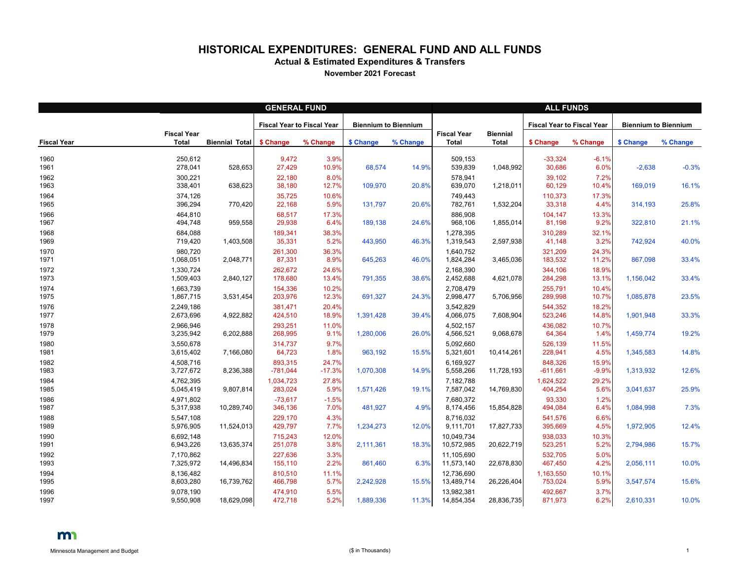## **HISTORICAL EXPENDITURES: GENERAL FUND AND ALL FUNDS**

**Actual & Estimated Expenditures & Transfers**

**November 2021 Forecast**

|                    | <b>GENERAL FUND</b>                |                       |                                   |                   |                             |          |                                    | <b>ALL FUNDS</b>                |                                   |                  |                             |          |  |  |
|--------------------|------------------------------------|-----------------------|-----------------------------------|-------------------|-----------------------------|----------|------------------------------------|---------------------------------|-----------------------------------|------------------|-----------------------------|----------|--|--|
|                    |                                    |                       | <b>Fiscal Year to Fiscal Year</b> |                   | <b>Biennium to Biennium</b> |          |                                    |                                 | <b>Fiscal Year to Fiscal Year</b> |                  | <b>Biennium to Biennium</b> |          |  |  |
| <b>Fiscal Year</b> | <b>Fiscal Year</b><br><b>Total</b> | <b>Biennial Total</b> | \$ Change                         | % Change          | \$ Change                   | % Change | <b>Fiscal Year</b><br><b>Total</b> | <b>Biennial</b><br><b>Total</b> | \$ Change                         | % Change         | \$ Change                   | % Change |  |  |
| 1960<br>1961       | 250,612<br>278,041                 | 528,653               | 9,472<br>27,429                   | 3.9%<br>10.9%     | 68,574                      | 14.9%    | 509,153<br>539,839                 | 1,048,992                       | $-33,324$<br>30,686               | $-6.1%$<br>6.0%  | $-2,638$                    | $-0.3%$  |  |  |
| 1962<br>1963       | 300,221<br>338,401                 | 638,623               | 22,180<br>38,180                  | 8.0%<br>12.7%     | 109,970                     | 20.8%    | 578,941<br>639,070                 | 1,218,011                       | 39,102<br>60,129                  | 7.2%<br>10.4%    | 169,019                     | 16.1%    |  |  |
| 1964<br>1965       | 374,126<br>396,294                 | 770,420               | 35,725<br>22,168                  | 10.6%<br>5.9%     | 131,797                     | 20.6%    | 749,443<br>782,761                 | 1,532,204                       | 110,373<br>33,318                 | 17.3%<br>4.4%    | 314,193                     | 25.8%    |  |  |
| 1966<br>1967       | 464,810<br>494,748                 | 959,558               | 68,517<br>29,938                  | 17.3%<br>6.4%     | 189,138                     | 24.6%    | 886,908<br>968,106                 | 1,855,014                       | 104,147<br>81,198                 | 13.3%<br>9.2%    | 322,810                     | 21.1%    |  |  |
| 1968<br>1969       | 684,088<br>719,420                 | 1,403,508             | 189,341<br>35,331                 | 38.3%<br>5.2%     | 443,950                     | 46.3%    | 1,278,395<br>1,319,543             | 2,597,938                       | 310,289<br>41,148                 | 32.1%<br>3.2%    | 742,924                     | 40.0%    |  |  |
| 1970<br>1971       | 980,720<br>1,068,051               | 2,048,771             | 261,300<br>87,331                 | 36.3%<br>8.9%     | 645,263                     | 46.0%    | 1,640,752<br>1,824,284             | 3,465,036                       | 321,209<br>183,532                | 24.3%<br>11.2%   | 867,098                     | 33.4%    |  |  |
| 1972<br>1973       | 1,330,724<br>1,509,403             | 2,840,127             | 262,672<br>178,680                | 24.6%<br>13.4%    | 791,355                     | 38.6%    | 2,168,390<br>2,452,688             | 4,621,078                       | 344,106<br>284,298                | 18.9%<br>13.1%   | 1,156,042                   | 33.4%    |  |  |
| 1974<br>1975       | 1,663,739<br>1,867,715             | 3,531,454             | 154,336<br>203,976                | 10.2%<br>12.3%    | 691,327                     | 24.3%    | 2,708,479<br>2,998,477             | 5,706,956                       | 255,791<br>289,998                | 10.4%<br>10.7%   | 1,085,878                   | 23.5%    |  |  |
| 1976<br>1977       | 2,249,186<br>2,673,696             | 4,922,882             | 381,471<br>424,510                | 20.4%<br>18.9%    | 1,391,428                   | 39.4%    | 3,542,829<br>4,066,075             | 7,608,904                       | 544,352<br>523,246                | 18.2%<br>14.8%   | 1,901,948                   | 33.3%    |  |  |
| 1978<br>1979       | 2,966,946<br>3,235,942             | 6,202,888             | 293,251<br>268,995                | 11.0%<br>9.1%     | 1,280,006                   | 26.0%    | 4,502,157<br>4,566,521             | 9,068,678                       | 436,082<br>64,364                 | 10.7%<br>1.4%    | 1,459,774                   | 19.2%    |  |  |
| 1980<br>1981       | 3,550,678<br>3,615,402             | 7,166,080             | 314,737<br>64,723                 | 9.7%<br>1.8%      | 963,192                     | 15.5%    | 5,092,660<br>5,321,601             | 10,414,261                      | 526,139<br>228,941                | 11.5%<br>4.5%    | 1,345,583                   | 14.8%    |  |  |
| 1982<br>1983       | 4,508,716<br>3,727,672             | 8,236,388             | 893,315<br>$-781,044$             | 24.7%<br>$-17.3%$ | 1,070,308                   | 14.9%    | 6,169,927<br>5,558,266             | 11,728,193                      | 848,326<br>$-611,661$             | 15.9%<br>$-9.9%$ | 1,313,932                   | 12.6%    |  |  |
| 1984<br>1985       | 4,762,395<br>5,045,419             | 9,807,814             | 1,034,723<br>283,024              | 27.8%<br>5.9%     | 1,571,426                   | 19.1%    | 7,182,788<br>7,587,042             | 14,769,830                      | 1,624,522<br>404,254              | 29.2%<br>5.6%    | 3,041,637                   | 25.9%    |  |  |
| 1986<br>1987       | 4,971,802<br>5,317,938             | 10,289,740            | $-73,617$<br>346,136              | $-1.5%$<br>7.0%   | 481,927                     | 4.9%     | 7,680,372<br>8,174,456             | 15,854,828                      | 93,330<br>494,084                 | 1.2%<br>6.4%     | 1,084,998                   | 7.3%     |  |  |
| 1988<br>1989       | 5,547,108<br>5,976,905             | 11,524,013            | 229,170<br>429,797                | 4.3%<br>$7.7\%$   | 1,234,273                   | 12.0%    | 8,716,032<br>9,111,701             | 17,827,733                      | 541,576<br>395,669                | 6.6%<br>4.5%     | 1,972,905                   | 12.4%    |  |  |
| 1990<br>1991       | 6,692,148<br>6,943,226             | 13,635,374            | 715,243<br>251,078                | 12.0%<br>3.8%     | 2,111,361                   | 18.3%    | 10,049,734<br>10,572,985           | 20,622,719                      | 938,033<br>523,251                | 10.3%<br>5.2%    | 2,794,986                   | 15.7%    |  |  |
| 1992<br>1993       | 7,170,862<br>7,325,972             | 14,496,834            | 227,636<br>155,110                | 3.3%<br>2.2%      | 861,460                     | 6.3%     | 11,105,690<br>11,573,140           | 22,678,830                      | 532,705<br>467,450                | 5.0%<br>4.2%     | 2,056,111                   | 10.0%    |  |  |
| 1994<br>1995       | 8,136,482<br>8,603,280             | 16,739,762            | 810,510<br>466,798                | 11.1%<br>5.7%     | 2,242,928                   | 15.5%    | 12,736,690<br>13,489,714           | 26,226,404                      | 1,163,550<br>753,024              | 10.1%<br>5.9%    | 3,547,574                   | 15.6%    |  |  |
| 1996<br>1997       | 9,078,190<br>9,550,908             | 18,629,098            | 474,910<br>472,718                | 5.5%<br>5.2%      | 1,889,336                   | 11.3%    | 13,982,381<br>14,854,354           | 28,836,735                      | 492,667<br>871,973                | 3.7%<br>6.2%     | 2,610,331                   | 10.0%    |  |  |